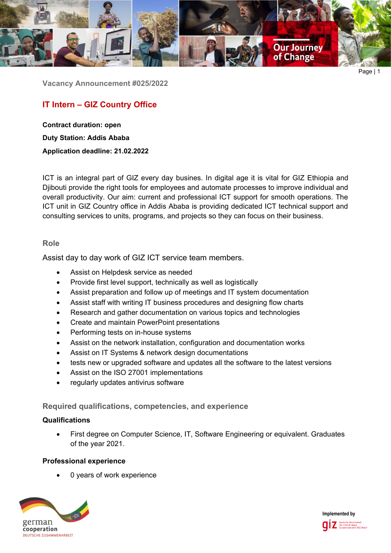

Page | 1

**Vacancy Announcement #025/2022**

# **IT Intern – GIZ Country Office**

**Contract duration: open Duty Station: Addis Ababa Application deadline: 21.02.2022**

ICT is an integral part of GIZ every day busines. In digital age it is vital for GIZ Ethiopia and Djibouti provide the right tools for employees and automate processes to improve individual and overall productivity. Our aim: current and professional ICT support for smooth operations. The ICT unit in GIZ Country office in Addis Ababa is providing dedicated ICT technical support and consulting services to units, programs, and projects so they can focus on their business.

## **Role**

Assist day to day work of GIZ ICT service team members.

- Assist on Helpdesk service as needed
- Provide first level support, technically as well as logistically
- Assist preparation and follow up of meetings and IT system documentation
- Assist staff with writing IT business procedures and designing flow charts
- Research and gather documentation on various topics and technologies
- Create and maintain PowerPoint presentations
- Performing tests on in-house systems
- Assist on the network installation, configuration and documentation works
- Assist on IT Systems & network design documentations
- tests new or upgraded software and updates all the software to the latest versions
- Assist on the ISO 27001 implementations
- regularly updates antivirus software

**Required qualifications, competencies, and experience**

## **Qualifications**

• First degree on Computer Science, IT, Software Engineering or equivalent. Graduates of the year 2021.

## **Professional experience**

0 years of work experience